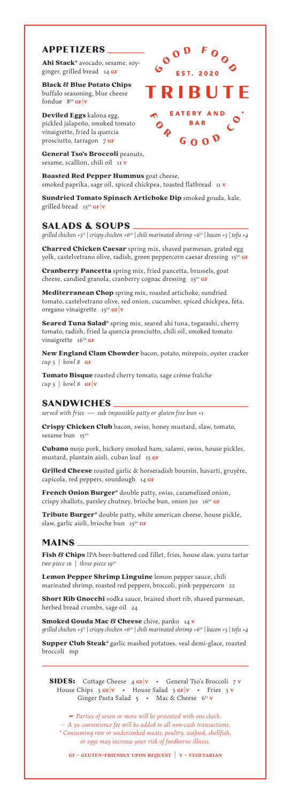Cubano mojo pork, hickory smoked ham, salami, swiss, house pickles, mustard, plantain aioli, cuban loaf 15 GF

Grilled Cheese roasted garlic & horseradish boursin, havarti, gruyère, capicola, red peppers, sourdough 14 GF

French Onion Burger\* double patty, swiss, caramelized onion, crispy shallots, parsley chutney, brioche bun, onion jus  $16^{50}$  GF

Tribute Burger\* double patty, white american cheese, house pickle, slaw, garlic aioli, brioche bun 15<sup>50</sup> GF

Charred Chicken Caesar spring mix, shaved parmesan, grated egg yolk, castelvetrano olive, radish, green peppercorn caesar dressing 15<sup>50</sup> GF

Cranberry Pancetta spring mix, fried pancetta, brussels, goat cheese, candied granola, cranberry cognac dressing 15<sup>50</sup> GF

Mediterranean Chop spring mix, roasted artichoke, sundried tomato, castelvetrano olive, red onion, cucumber, spiced chickpea, feta, oregano vinaigrette  $13^{50}$  GF v

Seared Tuna Salad\* spring mix, seared ahi tuna, togarashi, cherry tomato, radish, fried la quercia prosciutto, chili oil, smoked tomato vinaigrette 16<sup>50</sup> GF

New England Clam Chowder bacon, potato, mirepoix, oyster cracker *cup 5* | *bowl 8* gf

Tomato Bisque roasted cherry tomato, sage crème fraîche *cup* 5 | *bowl* 8  $GF|V$ 

Fish & Chips IPA beer-battered cod fillet, fries, house slaw, yuzu tartar *two piece 16* | *three piece 1950*

Short Rib Gnocchi vodka sauce, braised short rib, shaved parmesan, herbed bread crumbs, sage oil 24

**Smoked Gouda Mac & Cheese** chive, panko 14 v *grilled chicken +575* | *crispy chicken +650* | *chili marinated shrimp +650* | *bacon +3* | *tofu +4*

Supper Club Steak\* garlic mashed potatoes, veal demi-glace, roasted broccoli mp

**SIDES:** Cottage Cheese 4 GF v • General Tso's Broccoli 7 v House Chips 5  $\frac{GF}{v}$  • House Salad 5  $\frac{GF}{v}$  • Fries 5 v Ginger Pasta Salad 5 • Mac & Cheese 675 **v** 

Black & Blue Potato Chips buffalo seasoning, blue cheese fondue  $8^{50}$  GF  $|v|$ 

Deviled Eggs kalona egg, pickled jalapeño, smoked tomato vinaigrette, fried la quercia prosciutto, tarragon 7 GF

General Tso's Broccoli peanuts, sesame, scallion, chili oil 11 v

Roasted Red Pepper Hummus goat cheese, smoked paprika, sage oil, spiced chickpea, toasted flatbread 11 v

Sundried Tomato Spinach Artichoke Dip smoked gouda, kale, grilled bread  $15^{50}$  GF  $|v|$ 

Lemon Pepper Shrimp Linguine lemon pepper sauce, chili



**EATERY AND BAR** 

 $G_0 0<sup>0</sup>$ 

marinated shrimp, roasted red peppers, broccoli, pink peppercorn 22

### **SANDWICHES**

*served with fries — sub impossible patty or gluten free bun +1*

Crispy Chicken Club bacon, swiss, honey mustard, slaw, tomato, sesame bun 1550

## **SALADS & SOUPS**

*grilled chicken +575* | *crispy chicken +650* | *chili marinated shrimp +650* | *bacon +3* | *tofu +4*

# **APPETIZERS**

Ahi Stack\* avocado, sesame, soyginger, grilled bread 14 GF

### **MAINS**

*☛ Parties of seven or more will be presented with one check. ☞ A 3% convenience fee will be added to all non-cash transactions. \* Consuming raw or undercooked meats, poultry, seafood, shellfish, or eggs may increase your risk of foodborne illness.*

**gf - gluten-friendly upon request | v - vegetarian**